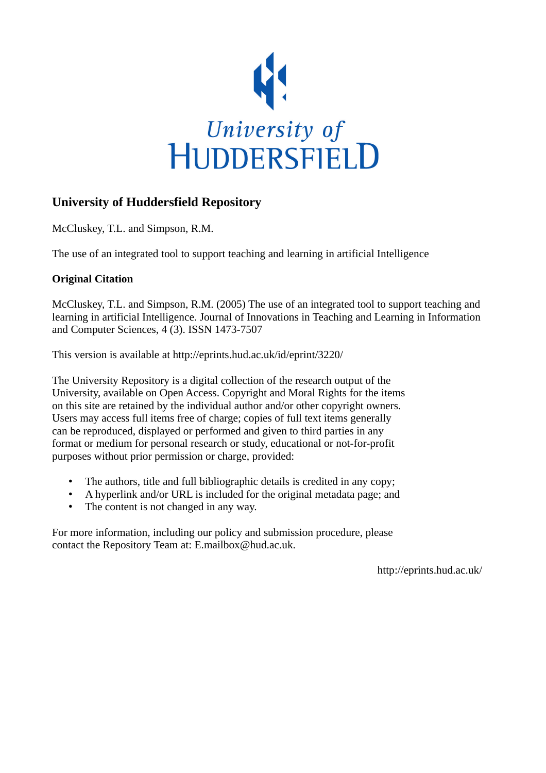

# **University of Huddersfield Repository**

McCluskey, T.L. and Simpson, R.M.

The use of an integrated tool to support teaching and learning in artificial Intelligence

## **Original Citation**

McCluskey, T.L. and Simpson, R.M. (2005) The use of an integrated tool to support teaching and learning in artificial Intelligence. Journal of Innovations in Teaching and Learning in Information and Computer Sciences, 4 (3). ISSN 1473-7507

This version is available at http://eprints.hud.ac.uk/id/eprint/3220/

The University Repository is a digital collection of the research output of the University, available on Open Access. Copyright and Moral Rights for the items on this site are retained by the individual author and/or other copyright owners. Users may access full items free of charge; copies of full text items generally can be reproduced, displayed or performed and given to third parties in any format or medium for personal research or study, educational or not-for-profit purposes without prior permission or charge, provided:

- The authors, title and full bibliographic details is credited in any copy;
- A hyperlink and/or URL is included for the original metadata page; and
- The content is not changed in any way.

For more information, including our policy and submission procedure, please contact the Repository Team at: E.mailbox@hud.ac.uk.

http://eprints.hud.ac.uk/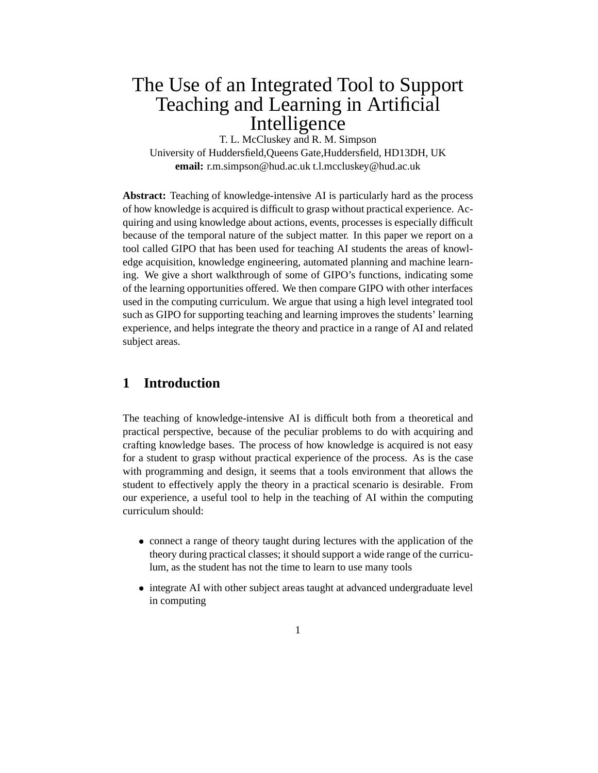# The Use of an Integrated Tool to Support Teaching and Learning in Artificial Intelligence

T. L. McCluskey and R. M. Simpson University of Huddersfield,Queens Gate,Huddersfield, HD13DH, UK **email:** r.m.simpson@hud.ac.uk t.l.mccluskey@hud.ac.uk

**Abstract:** Teaching of knowledge-intensive AI is particularly hard as the process of how knowledge is acquired is difficult to grasp without practical experience. Acquiring and using knowledge about actions, events, processes is especially difficult because of the temporal nature of the subject matter. In this paper we report on a tool called GIPO that has been used for teaching AI students the areas of knowledge acquisition, knowledge engineering, automated planning and machine learning. We give a short walkthrough of some of GIPO's functions, indicating some of the learning opportunities offered. We then compare GIPO with other interfaces used in the computing curriculum. We argue that using a high level integrated tool such as GIPO for supporting teaching and learning improves the students' learning experience, and helps integrate the theory and practice in a range of AI and related subject areas.

## **1 Introduction**

The teaching of knowledge-intensive AI is difficult both from a theoretical and practical perspective, because of the peculiar problems to do with acquiring and crafting knowledge bases. The process of how knowledge is acquired is not easy for a student to grasp without practical experience of the process. As is the case with programming and design, it seems that a tools environment that allows the student to effectively apply the theory in a practical scenario is desirable. From our experience, a useful tool to help in the teaching of AI within the computing curriculum should:

- connect a range of theory taught during lectures with the application of the theory during practical classes; it should support a wide range of the curriculum, as the student has not the time to learn to use many tools
- integrate AI with other subject areas taught at advanced undergraduate level in computing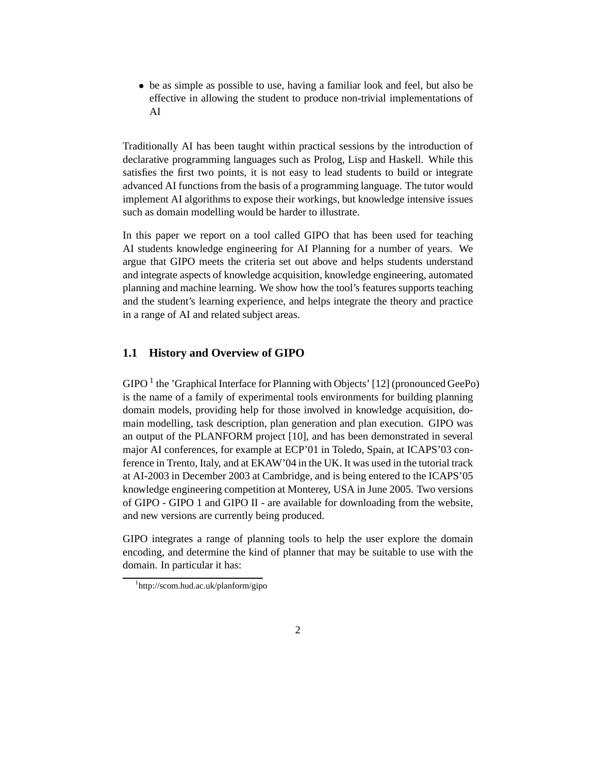be as simple as possible to use, having a familiar look and feel, but also be effective in allowing the student to produce non-trivial implementations of AI

Traditionally AI has been taught within practical sessions by the introduction of declarative programming languages such as Prolog, Lisp and Haskell. While this satisfies the first two points, it is not easy to lead students to build or integrate advanced AI functions from the basis of a programming language. The tutor would implement AI algorithms to expose their workings, but knowledge intensive issues such as domain modelling would be harder to illustrate.

In this paper we report on a tool called GIPO that has been used for teaching AI students knowledge engineering for AI Planning for a number of years. We argue that GIPO meets the criteria set out above and helps students understand and integrate aspects of knowledge acquisition, knowledge engineering, automated planning and machine learning. We show how the tool's features supports teaching and the student's learning experience, and helps integrate the theory and practice in a range of AI and related subject areas.

### **1.1 History and Overview of GIPO**

GIPO<sup>1</sup> the 'Graphical Interface for Planning with Objects' [12] (pronounced GeePo) is the name of a family of experimental tools environments for building planning domain models, providing help for those involved in knowledge acquisition, domain modelling, task description, plan generation and plan execution. GIPO was an output of the PLANFORM project [10], and has been demonstrated in several major AI conferences, for example at ECP'01 in Toledo, Spain, at ICAPS'03 conference in Trento, Italy, and at EKAW'04 in the UK. It was used in the tutorial track at AI-2003 in December 2003 at Cambridge, and is being entered to the ICAPS'05 knowledge engineering competition at Monterey, USA in June 2005. Two versions of GIPO - GIPO 1 and GIPO II - are available for downloading from the website, and new versions are currently being produced.

GIPO integrates a range of planning tools to help the user explore the domain encoding, and determine the kind of planner that may be suitable to use with the domain. In particular it has:

<sup>1</sup> http://scom.hud.ac.uk/planform/gipo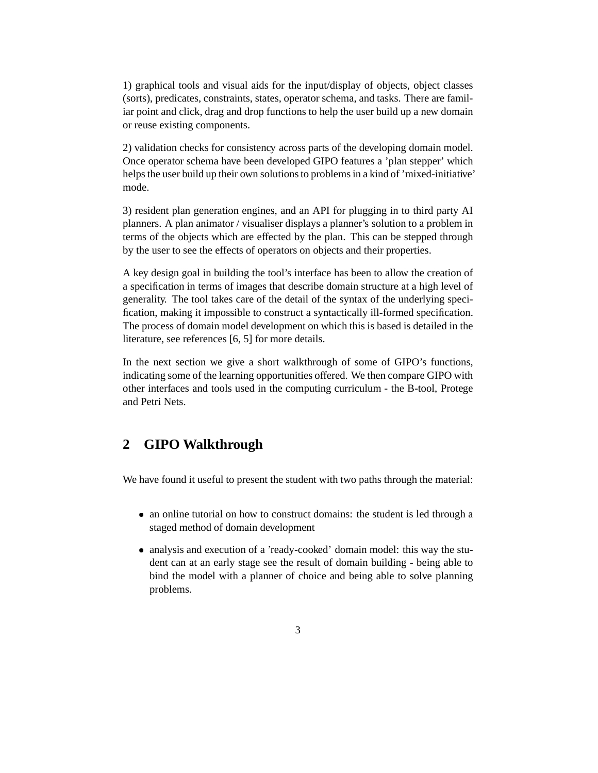1) graphical tools and visual aids for the input/display of objects, object classes (sorts), predicates, constraints, states, operator schema, and tasks. There are familiar point and click, drag and drop functions to help the user build up a new domain or reuse existing components.

2) validation checks for consistency across parts of the developing domain model. Once operator schema have been developed GIPO features a 'plan stepper' which helps the user build up their own solutions to problems in a kind of 'mixed-initiative' mode.

3) resident plan generation engines, and an API for plugging in to third party AI planners. A plan animator / visualiser displays a planner's solution to a problem in terms of the objects which are effected by the plan. This can be stepped through by the user to see the effects of operators on objects and their properties.

A key design goal in building the tool's interface has been to allow the creation of a specification in terms of images that describe domain structure at a high level of generality. The tool takes care of the detail of the syntax of the underlying specification, making it impossible to construct a syntactically ill-formed specification. The process of domain model development on which this is based is detailed in the literature, see references [6, 5] for more details.

In the next section we give a short walkthrough of some of GIPO's functions, indicating some of the learning opportunities offered. We then compare GIPO with other interfaces and tools used in the computing curriculum - the B-tool, Protege and Petri Nets.

# **2 GIPO Walkthrough**

We have found it useful to present the student with two paths through the material:

- an online tutorial on how to construct domains: the student is led through a staged method of domain development
- analysis and execution of a 'ready-cooked' domain model: this way the student can at an early stage see the result of domain building - being able to bind the model with a planner of choice and being able to solve planning problems.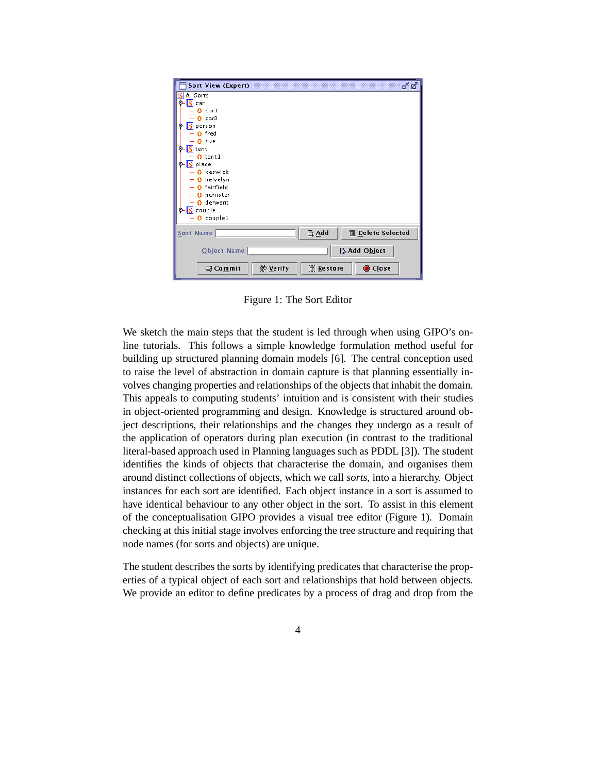| <b>Sort View (Expert)</b>    | ಕ್ ಡೌ                                         |
|------------------------------|-----------------------------------------------|
| AllSorts                     |                                               |
| $\overline{\mathbf{S}}$ car  |                                               |
| $0$ carl                     |                                               |
| car2                         |                                               |
| person<br>انگه               |                                               |
| O fred                       |                                               |
| sue                          |                                               |
| 1S)<br>tent                  |                                               |
| $0$ tentl                    |                                               |
| place<br>IRI                 |                                               |
| O keswick                    |                                               |
| helvelyn<br>n                |                                               |
| fairfield                    |                                               |
| honister                     |                                               |
| derwent                      |                                               |
| couple<br>ISI                |                                               |
| $0$ couple1                  |                                               |
| <b>Sort Name</b>             | $\mathbb{R}$ Add<br><b>ff</b> Delete Selected |
|                              |                                               |
| <b>Object Name</b>           | Add Object                                    |
| go Verify<br><b>B</b> Commit | <b><i>ff</i></b> Restore<br>Close             |

Figure 1: The Sort Editor

We sketch the main steps that the student is led through when using GIPO's online tutorials. This follows a simple knowledge formulation method useful for building up structured planning domain models [6]. The central conception used to raise the level of abstraction in domain capture is that planning essentially involves changing properties and relationships of the objects that inhabit the domain. This appeals to computing students' intuition and is consistent with their studies in object-oriented programming and design. Knowledge is structured around object descriptions, their relationships and the changes they undergo as a result of the application of operators during plan execution (in contrast to the traditional literal-based approach used in Planning languages such as PDDL [3]). The student identifies the kinds of objects that characterise the domain, and organises them around distinct collections of objects, which we call *sorts*, into a hierarchy. Object instances for each sort are identified. Each object instance in a sort is assumed to have identical behaviour to any other object in the sort. To assist in this element of the conceptualisation GIPO provides a visual tree editor (Figure 1). Domain checking at this initial stage involves enforcing the tree structure and requiring that node names (for sorts and objects) are unique.

The student describes the sorts by identifying predicates that characterise the properties of a typical object of each sort and relationships that hold between objects. We provide an editor to define predicates by a process of drag and drop from the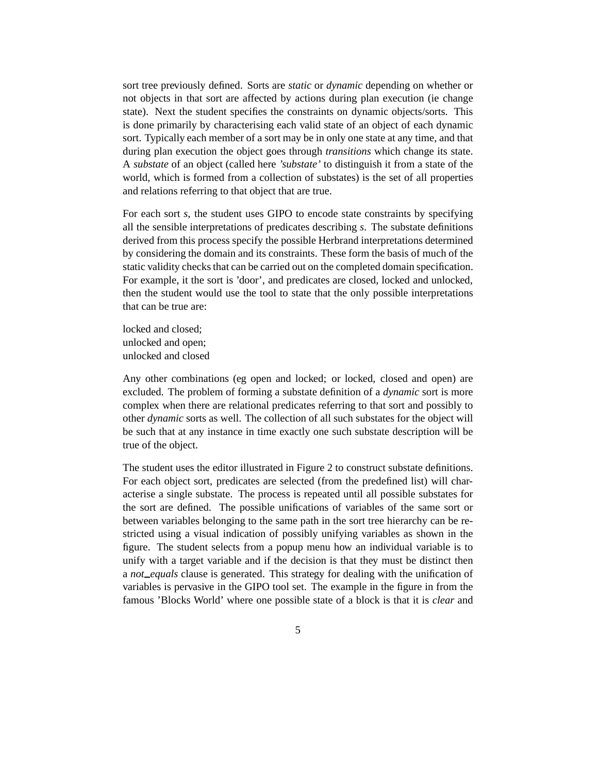sort tree previously defined. Sorts are *static* or *dynamic* depending on whether or not objects in that sort are affected by actions during plan execution (ie change state). Next the student specifies the constraints on dynamic objects/sorts. This is done primarily by characterising each valid state of an object of each dynamic sort. Typically each member of a sort may be in only one state at any time, and that during plan execution the object goes through *transitions* which change its state. A *substate* of an object (called here *'substate'* to distinguish it from a state of the world, which is formed from a collection of substates) is the set of all properties and relations referring to that object that are true.

For each sort *s*, the student uses GIPO to encode state constraints by specifying all the sensible interpretations of predicates describing *s*. The substate definitions derived from this process specify the possible Herbrand interpretations determined by considering the domain and its constraints. These form the basis of much of the static validity checks that can be carried out on the completed domain specification. For example, it the sort is 'door', and predicates are closed, locked and unlocked, then the student would use the tool to state that the only possible interpretations that can be true are:

locked and closed; unlocked and open; unlocked and closed

Any other combinations (eg open and locked; or locked, closed and open) are excluded. The problem of forming a substate definition of a *dynamic* sort is more complex when there are relational predicates referring to that sort and possibly to other *dynamic* sorts as well. The collection of all such substates for the object will be such that at any instance in time exactly one such substate description will be true of the object.

The student uses the editor illustrated in Figure 2 to construct substate definitions. For each object sort, predicates are selected (from the predefined list) will characterise a single substate. The process is repeated until all possible substates for the sort are defined. The possible unifications of variables of the same sort or between variables belonging to the same path in the sort tree hierarchy can be restricted using a visual indication of possibly unifying variables as shown in the figure. The student selects from a popup menu how an individual variable is to unify with a target variable and if the decision is that they must be distinct then a *not equals* clause is generated. This strategy for dealing with the unification of variables is pervasive in the GIPO tool set. The example in the figure in from the famous 'Blocks World' where one possible state of a block is that it is *clear* and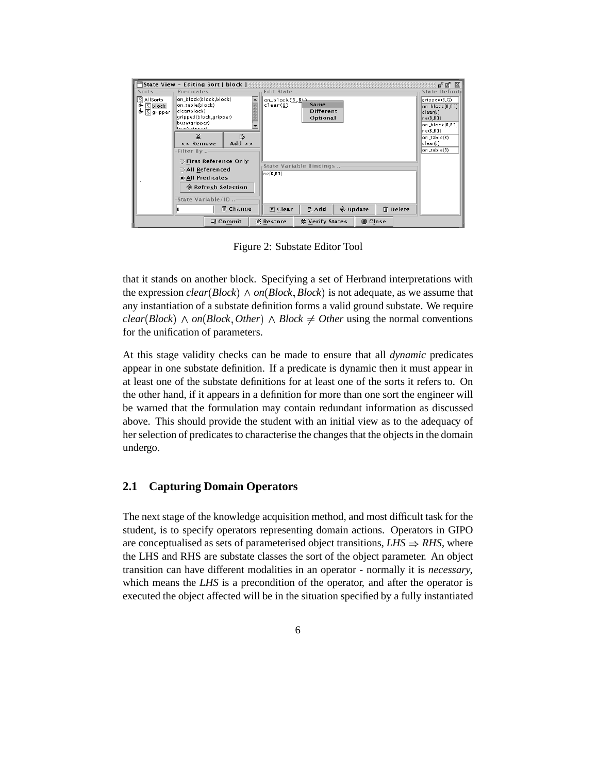|               |                       | State View - Editing Sort [ block ] |                                                                   | 5년 図                      |
|---------------|-----------------------|-------------------------------------|-------------------------------------------------------------------|---------------------------|
| $-$ Sorts $-$ | -Predicates -         |                                     | Edit State                                                        | <b>State Definiti</b>     |
| S AllSorts    | on_block(block,block) |                                     | on_block( $B$ , $B \triangleq$                                    | gripped(B,G)              |
| Ф S block     | on_table(block)       |                                     | Same<br>clear(B)                                                  | $ on_b $ lock $(B, B, 1)$ |
| ⊕ S gripper   | clear(block)          |                                     | Different                                                         | clear(B)                  |
|               |                       | gripped(block.gripper)              | Optional                                                          | ne(B,B1)                  |
|               | busy(gripper)         |                                     |                                                                   | $on\_block(B, B1)$        |
|               | Exactavinnavi         |                                     |                                                                   | ne(B,B1)                  |
|               | x                     | D                                   |                                                                   | on_table(B)               |
|               | $<<$ Remove           | Add $\rightarrow$                   |                                                                   | clear(B)                  |
|               |                       |                                     |                                                                   | on_table(B)               |
|               | Filter By -           |                                     |                                                                   |                           |
|               |                       | ○ First Reference Only              |                                                                   |                           |
|               | All Referenced        |                                     | State Variable Bindings                                           |                           |
|               |                       |                                     | ne(B,B1)                                                          |                           |
|               | @ All Predicates      |                                     |                                                                   |                           |
|               |                       | ◈ Refresh Selection                 |                                                                   |                           |
|               |                       |                                     |                                                                   |                           |
|               |                       | State Variable/ID -                 |                                                                   |                           |
|               |                       |                                     |                                                                   |                           |
|               | в                     | <b>n</b> Change                     | <b>%</b> Update<br><b>m</b> Delete<br>同 Clear<br>$\mathbb{R}$ Add |                           |
|               |                       |                                     |                                                                   |                           |
|               |                       | <b>③ Commit</b>                     | <b><sup>他</sup> Verify States</b><br>Close<br>僧 Restore           |                           |

Figure 2: Substate Editor Tool

that it stands on another block. Specifying a set of Herbrand interpretations with the expression *clear*(*Block*)  $\land$  *on*(*Block*, *Block*) is not adequate, as we assume that any instantiation of a substate definition forms a valid ground substate. We require  $clear(Block) \wedge on(Block, Other) \wedge Block \neq Other$  using the normal conventions for the unification of parameters.

At this stage validity checks can be made to ensure that all *dynamic* predicates appear in one substate definition. If a predicate is dynamic then it must appear in at least one of the substate definitions for at least one of the sorts it refers to. On the other hand, if it appears in a definition for more than one sort the engineer will be warned that the formulation may contain redundant information as discussed above. This should provide the student with an initial view as to the adequacy of her selection of predicates to characterise the changes that the objects in the domain undergo.

### **2.1 Capturing Domain Operators**

The next stage of the knowledge acquisition method, and most difficult task for the student, is to specify operators representing domain actions. Operators in GIPO are conceptualised as sets of parameterised object transitions,  $LHS \Rightarrow RHS$ , where the LHS and RHS are substate classes the sort of the object parameter. An object transition can have different modalities in an operator - normally it is *necessary*, which means the *LHS* is a precondition of the operator, and after the operator is executed the object affected will be in the situation specified by a fully instantiated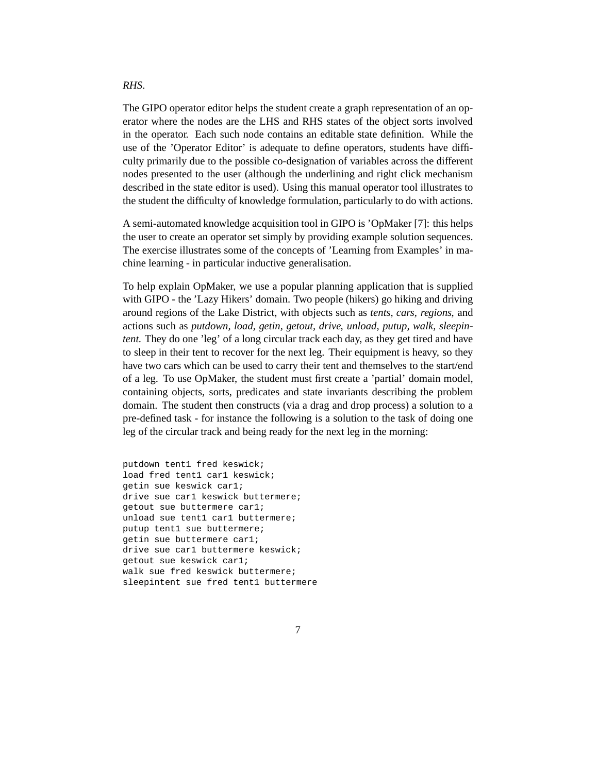#### *RHS*.

The GIPO operator editor helps the student create a graph representation of an operator where the nodes are the LHS and RHS states of the object sorts involved in the operator. Each such node contains an editable state definition. While the use of the 'Operator Editor' is adequate to define operators, students have difficulty primarily due to the possible co-designation of variables across the different nodes presented to the user (although the underlining and right click mechanism described in the state editor is used). Using this manual operator tool illustrates to the student the difficulty of knowledge formulation, particularly to do with actions.

A semi-automated knowledge acquisition tool in GIPO is 'OpMaker [7]: this helps the user to create an operator set simply by providing example solution sequences. The exercise illustrates some of the concepts of 'Learning from Examples' in machine learning - in particular inductive generalisation.

To help explain OpMaker, we use a popular planning application that is supplied with GIPO - the 'Lazy Hikers' domain. Two people (hikers) go hiking and driving around regions of the Lake District, with objects such as *tents, cars, regions*, and actions such as *putdown, load, getin, getout, drive, unload, putup, walk, sleepintent*. They do one 'leg' of a long circular track each day, as they get tired and have to sleep in their tent to recover for the next leg. Their equipment is heavy, so they have two cars which can be used to carry their tent and themselves to the start/end of a leg. To use OpMaker, the student must first create a 'partial' domain model, containing objects, sorts, predicates and state invariants describing the problem domain. The student then constructs (via a drag and drop process) a solution to a pre-defined task - for instance the following is a solution to the task of doing one leg of the circular track and being ready for the next leg in the morning:

putdown tent1 fred keswick; load fred tent1 car1 keswick; getin sue keswick car1; drive sue car1 keswick buttermere; getout sue buttermere car1; unload sue tent1 car1 buttermere; putup tent1 sue buttermere; getin sue buttermere car1; drive sue car1 buttermere keswick; getout sue keswick car1; walk sue fred keswick buttermere; sleepintent sue fred tent1 buttermere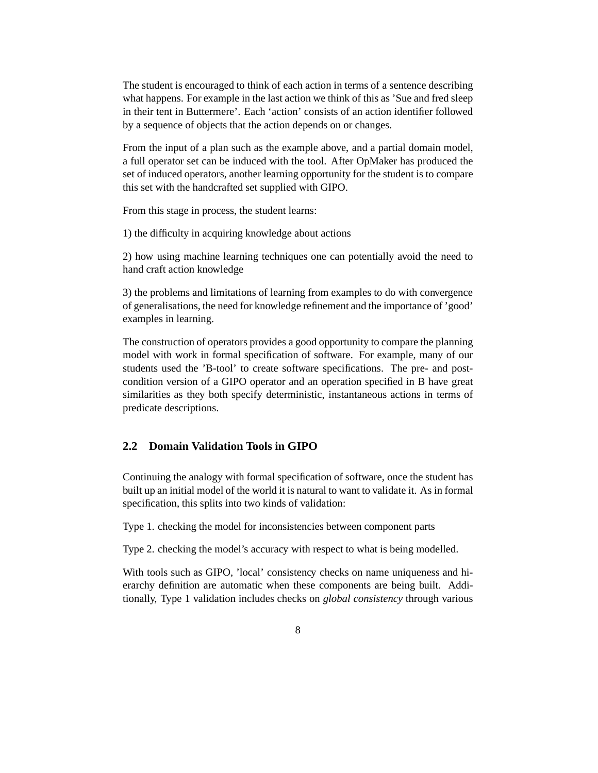The student is encouraged to think of each action in terms of a sentence describing what happens. For example in the last action we think of this as 'Sue and fred sleep in their tent in Buttermere'. Each 'action' consists of an action identifier followed by a sequence of objects that the action depends on or changes.

From the input of a plan such as the example above, and a partial domain model, a full operator set can be induced with the tool. After OpMaker has produced the set of induced operators, another learning opportunity for the student is to compare this set with the handcrafted set supplied with GIPO.

From this stage in process, the student learns:

1) the difficulty in acquiring knowledge about actions

2) how using machine learning techniques one can potentially avoid the need to hand craft action knowledge

3) the problems and limitations of learning from examples to do with convergence of generalisations, the need for knowledge refinement and the importance of 'good' examples in learning.

The construction of operators provides a good opportunity to compare the planning model with work in formal specification of software. For example, many of our students used the 'B-tool' to create software specifications. The pre- and postcondition version of a GIPO operator and an operation specified in B have great similarities as they both specify deterministic, instantaneous actions in terms of predicate descriptions.

### **2.2 Domain Validation Tools in GIPO**

Continuing the analogy with formal specification of software, once the student has built up an initial model of the world it is natural to want to validate it. As in formal specification, this splits into two kinds of validation:

Type 1. checking the model for inconsistencies between component parts

Type 2. checking the model's accuracy with respect to what is being modelled.

With tools such as GIPO, 'local' consistency checks on name uniqueness and hierarchy definition are automatic when these components are being built. Additionally, Type 1 validation includes checks on *global consistency* through various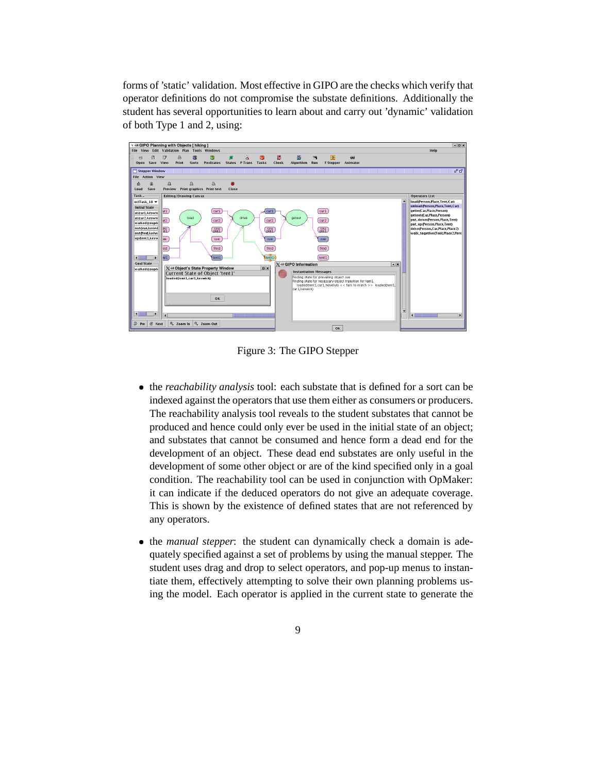forms of 'static' validation. Most effective in GIPO are the checks which verify that operator definitions do not compromise the substate definitions. Additionally the student has several opportunities to learn about and carry out 'dynamic' validation of both Type 1 and 2, using:



Figure 3: The GIPO Stepper

- the *reachability analysis* tool: each substate that is defined for a sort can be indexed against the operators that use them either as consumers or producers. The reachability analysis tool reveals to the student substates that cannot be produced and hence could only ever be used in the initial state of an object; and substates that cannot be consumed and hence form a dead end for the development of an object. These dead end substates are only useful in the development of some other object or are of the kind specified only in a goal condition. The reachability tool can be used in conjunction with OpMaker: it can indicate if the deduced operators do not give an adequate coverage. This is shown by the existence of defined states that are not referenced by any operators.
- the *manual stepper*: the student can dynamically check a domain is adequately specified against a set of problems by using the manual stepper. The student uses drag and drop to select operators, and pop-up menus to instantiate them, effectively attempting to solve their own planning problems using the model. Each operator is applied in the current state to generate the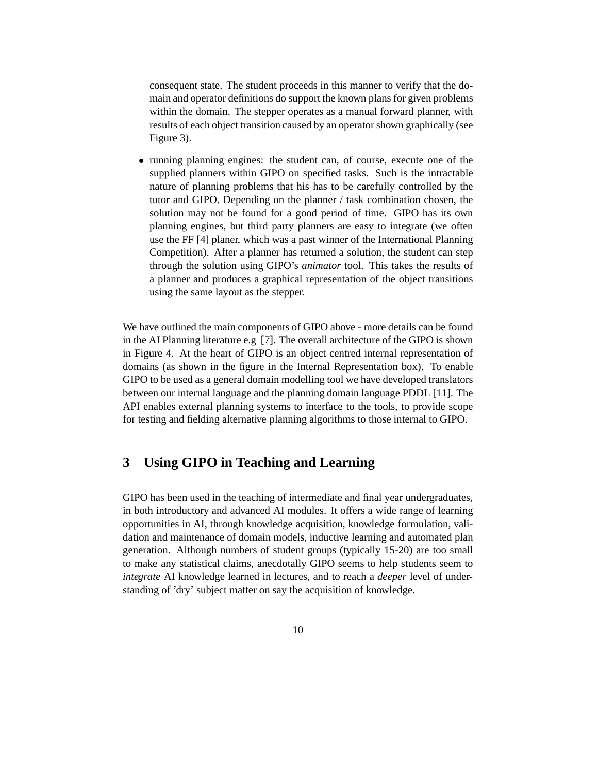consequent state. The student proceeds in this manner to verify that the domain and operator definitions do support the known plans for given problems within the domain. The stepper operates as a manual forward planner, with results of each object transition caused by an operator shown graphically (see Figure 3).

 running planning engines: the student can, of course, execute one of the supplied planners within GIPO on specified tasks. Such is the intractable nature of planning problems that his has to be carefully controlled by the tutor and GIPO. Depending on the planner / task combination chosen, the solution may not be found for a good period of time. GIPO has its own planning engines, but third party planners are easy to integrate (we often use the FF [4] planer, which was a past winner of the International Planning Competition). After a planner has returned a solution, the student can step through the solution using GIPO's *animator* tool. This takes the results of a planner and produces a graphical representation of the object transitions using the same layout as the stepper.

We have outlined the main components of GIPO above - more details can be found in the AI Planning literature e.g [7]. The overall architecture of the GIPO is shown in Figure 4. At the heart of GIPO is an object centred internal representation of domains (as shown in the figure in the Internal Representation box). To enable GIPO to be used as a general domain modelling tool we have developed translators between our internal language and the planning domain language PDDL [11]. The API enables external planning systems to interface to the tools, to provide scope for testing and fielding alternative planning algorithms to those internal to GIPO.

### **3 Using GIPO in Teaching and Learning**

GIPO has been used in the teaching of intermediate and final year undergraduates, in both introductory and advanced AI modules. It offers a wide range of learning opportunities in AI, through knowledge acquisition, knowledge formulation, validation and maintenance of domain models, inductive learning and automated plan generation. Although numbers of student groups (typically 15-20) are too small to make any statistical claims, anecdotally GIPO seems to help students seem to *integrate* AI knowledge learned in lectures, and to reach a *deeper* level of understanding of 'dry' subject matter on say the acquisition of knowledge.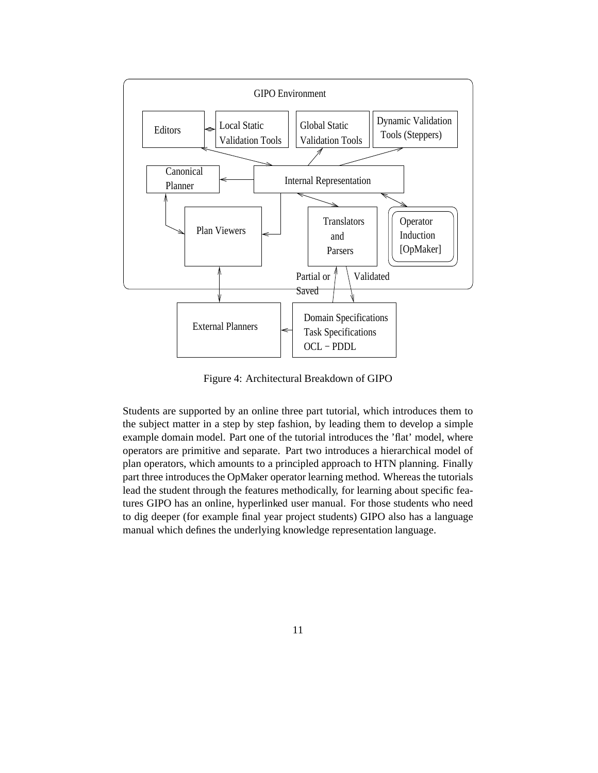

Figure 4: Architectural Breakdown of GIPO

Students are supported by an online three part tutorial, which introduces them to the subject matter in a step by step fashion, by leading them to develop a simple example domain model. Part one of the tutorial introduces the 'flat' model, where operators are primitive and separate. Part two introduces a hierarchical model of plan operators, which amounts to a principled approach to HTN planning. Finally part three introduces the OpMaker operator learning method. Whereas the tutorials lead the student through the features methodically, for learning about specific features GIPO has an online, hyperlinked user manual. For those students who need to dig deeper (for example final year project students) GIPO also has a language manual which defines the underlying knowledge representation language.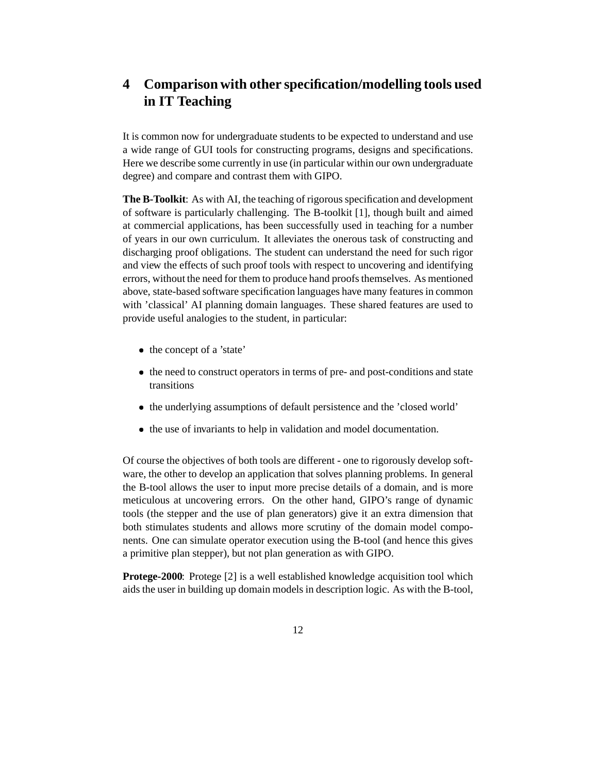# **4 Comparison with other specification/modelling tools used in IT Teaching**

It is common now for undergraduate students to be expected to understand and use a wide range of GUI tools for constructing programs, designs and specifications. Here we describe some currently in use (in particular within our own undergraduate degree) and compare and contrast them with GIPO.

**The B-Toolkit**: As with AI, the teaching of rigorousspecification and development of software is particularly challenging. The B-toolkit [1], though built and aimed at commercial applications, has been successfully used in teaching for a number of years in our own curriculum. It alleviates the onerous task of constructing and discharging proof obligations. The student can understand the need for such rigor and view the effects of such proof tools with respect to uncovering and identifying errors, without the need for them to produce hand proofsthemselves. As mentioned above, state-based software specification languages have many features in common with 'classical' AI planning domain languages. These shared features are used to provide useful analogies to the student, in particular:

- the concept of a 'state'
- the need to construct operators in terms of pre- and post-conditions and state transitions
- the underlying assumptions of default persistence and the 'closed world'
- the use of invariants to help in validation and model documentation.

Of course the objectives of both tools are different - one to rigorously develop software, the other to develop an application that solves planning problems. In general the B-tool allows the user to input more precise details of a domain, and is more meticulous at uncovering errors. On the other hand, GIPO's range of dynamic tools (the stepper and the use of plan generators) give it an extra dimension that both stimulates students and allows more scrutiny of the domain model components. One can simulate operator execution using the B-tool (and hence this gives a primitive plan stepper), but not plan generation as with GIPO.

**Protege-2000**: Protege [2] is a well established knowledge acquisition tool which aids the user in building up domain modelsin description logic. As with the B-tool,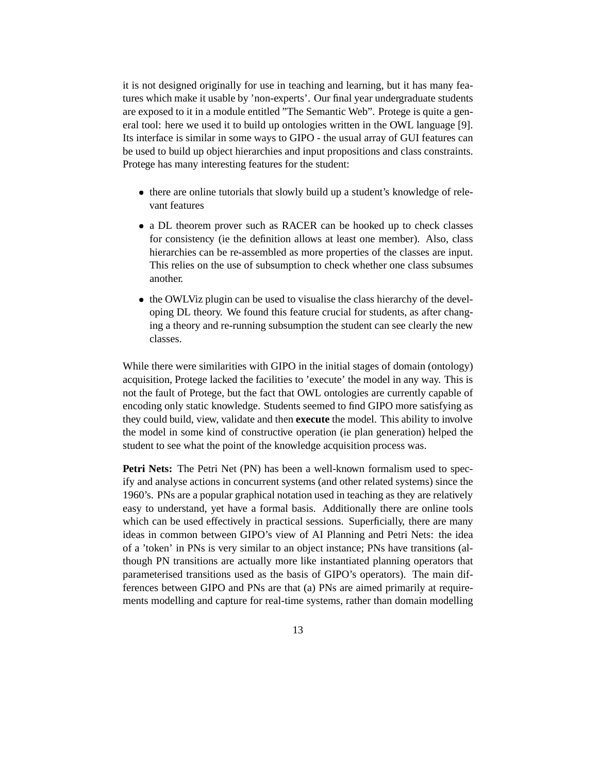it is not designed originally for use in teaching and learning, but it has many features which make it usable by 'non-experts'. Our final year undergraduate students are exposed to it in a module entitled "The Semantic Web". Protege is quite a general tool: here we used it to build up ontologies written in the OWL language [9]. Its interface is similar in some ways to GIPO - the usual array of GUI features can be used to build up object hierarchies and input propositions and class constraints. Protege has many interesting features for the student:

- there are online tutorials that slowly build up a student's knowledge of relevant features
- a DL theorem prover such as RACER can be hooked up to check classes for consistency (ie the definition allows at least one member). Also, class hierarchies can be re-assembled as more properties of the classes are input. This relies on the use of subsumption to check whether one class subsumes another.
- the OWLViz plugin can be used to visualise the class hierarchy of the developing DL theory. We found this feature crucial for students, as after changing a theory and re-running subsumption the student can see clearly the new classes.

While there were similarities with GIPO in the initial stages of domain (ontology) acquisition, Protege lacked the facilities to 'execute' the model in any way. This is not the fault of Protege, but the fact that OWL ontologies are currently capable of encoding only static knowledge. Students seemed to find GIPO more satisfying as they could build, view, validate and then **execute** the model. This ability to involve the model in some kind of constructive operation (ie plan generation) helped the student to see what the point of the knowledge acquisition process was.

**Petri Nets:** The Petri Net (PN) has been a well-known formalism used to specify and analyse actions in concurrent systems (and other related systems) since the 1960's. PNs are a popular graphical notation used in teaching as they are relatively easy to understand, yet have a formal basis. Additionally there are online tools which can be used effectively in practical sessions. Superficially, there are many ideas in common between GIPO's view of AI Planning and Petri Nets: the idea of a 'token' in PNs is very similar to an object instance; PNs have transitions (although PN transitions are actually more like instantiated planning operators that parameterised transitions used as the basis of GIPO's operators). The main differences between GIPO and PNs are that (a) PNs are aimed primarily at requirements modelling and capture for real-time systems, rather than domain modelling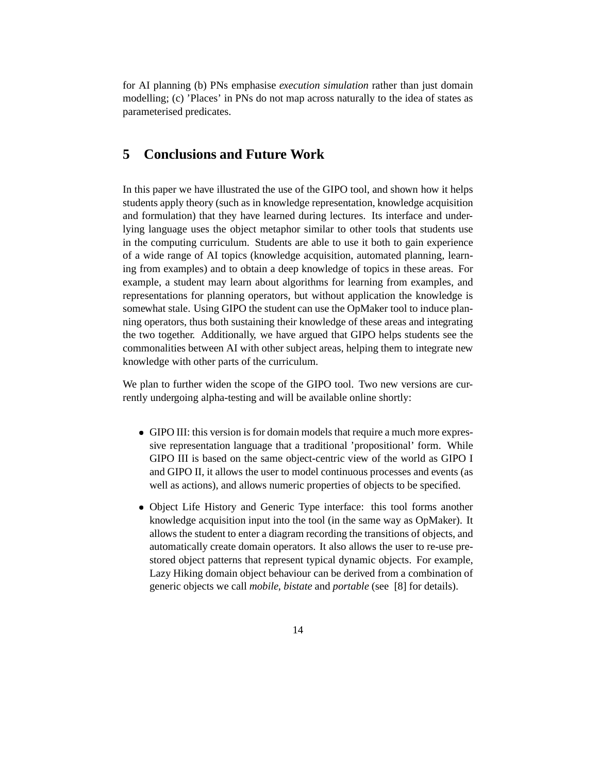for AI planning (b) PNs emphasise *execution simulation* rather than just domain modelling; (c) 'Places' in PNs do not map across naturally to the idea of states as parameterised predicates.

## **5 Conclusions and Future Work**

In this paper we have illustrated the use of the GIPO tool, and shown how it helps students apply theory (such as in knowledge representation, knowledge acquisition and formulation) that they have learned during lectures. Its interface and underlying language uses the object metaphor similar to other tools that students use in the computing curriculum. Students are able to use it both to gain experience of a wide range of AI topics (knowledge acquisition, automated planning, learning from examples) and to obtain a deep knowledge of topics in these areas. For example, a student may learn about algorithms for learning from examples, and representations for planning operators, but without application the knowledge is somewhat stale. Using GIPO the student can use the OpMaker tool to induce planning operators, thus both sustaining their knowledge of these areas and integrating the two together. Additionally, we have argued that GIPO helps students see the commonalities between AI with other subject areas, helping them to integrate new knowledge with other parts of the curriculum.

We plan to further widen the scope of the GIPO tool. Two new versions are currently undergoing alpha-testing and will be available online shortly:

- GIPO III: this version is for domain models that require a much more expressive representation language that a traditional 'propositional' form. While GIPO III is based on the same object-centric view of the world as GIPO I and GIPO II, it allows the user to model continuous processes and events (as well as actions), and allows numeric properties of objects to be specified.
- Object Life History and Generic Type interface: this tool forms another knowledge acquisition input into the tool (in the same way as OpMaker). It allows the student to enter a diagram recording the transitions of objects, and automatically create domain operators. It also allows the user to re-use prestored object patterns that represent typical dynamic objects. For example, Lazy Hiking domain object behaviour can be derived from a combination of generic objects we call *mobile*, *bistate* and *portable* (see [8] for details).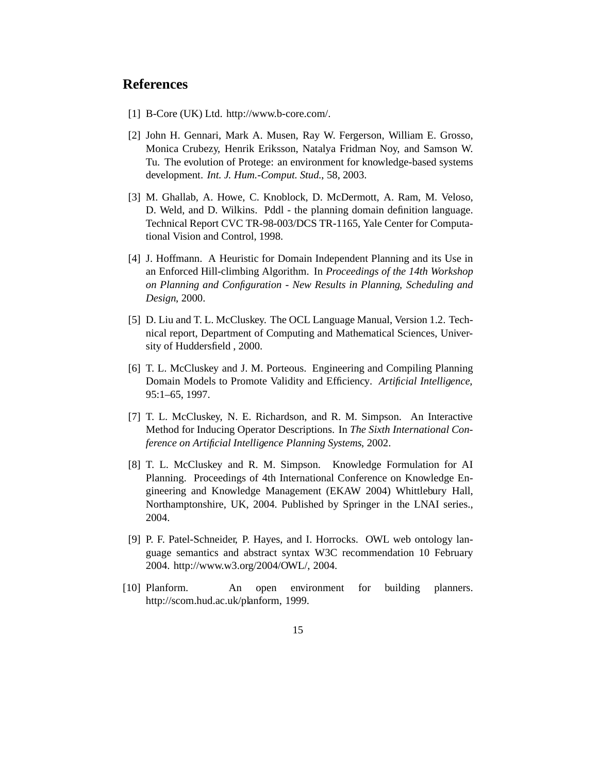### **References**

- [1] B-Core (UK) Ltd. http://www.b-core.com/.
- [2] John H. Gennari, Mark A. Musen, Ray W. Fergerson, William E. Grosso, Monica Crubezy, Henrik Eriksson, Natalya Fridman Noy, and Samson W. Tu. The evolution of Protege: an environment for knowledge-based systems development. *Int. J. Hum.-Comput. Stud.*, 58, 2003.
- [3] M. Ghallab, A. Howe, C. Knoblock, D. McDermott, A. Ram, M. Veloso, D. Weld, and D. Wilkins. Pddl - the planning domain definition language. Technical Report CVC TR-98-003/DCS TR-1165, Yale Center for Computational Vision and Control, 1998.
- [4] J. Hoffmann. A Heuristic for Domain Independent Planning and its Use in an Enforced Hill-climbing Algorithm. In *Proceedings of the 14th Workshop on Planning and Configuration - New Results in Planning, Scheduling and Design*, 2000.
- [5] D. Liu and T. L. McCluskey. The OCL Language Manual, Version 1.2. Technical report, Department of Computing and Mathematical Sciences, University of Huddersfield , 2000.
- [6] T. L. McCluskey and J. M. Porteous. Engineering and Compiling Planning Domain Models to Promote Validity and Efficiency. *Artificial Intelligence*, 95:1–65, 1997.
- [7] T. L. McCluskey, N. E. Richardson, and R. M. Simpson. An Interactive Method for Inducing Operator Descriptions. In *The Sixth International Conference on Artificial Intelligence Planning Systems*, 2002.
- [8] T. L. McCluskey and R. M. Simpson. Knowledge Formulation for AI Planning. Proceedings of 4th International Conference on Knowledge Engineering and Knowledge Management (EKAW 2004) Whittlebury Hall, Northamptonshire, UK, 2004. Published by Springer in the LNAI series., 2004.
- [9] P. F. Patel-Schneider, P. Hayes, and I. Horrocks. OWL web ontology language semantics and abstract syntax W3C recommendation 10 February 2004. http://www.w3.org/2004/OWL/, 2004.
- [10] Planform. An open environment for building planners. http://scom.hud.ac.uk/planform, 1999.